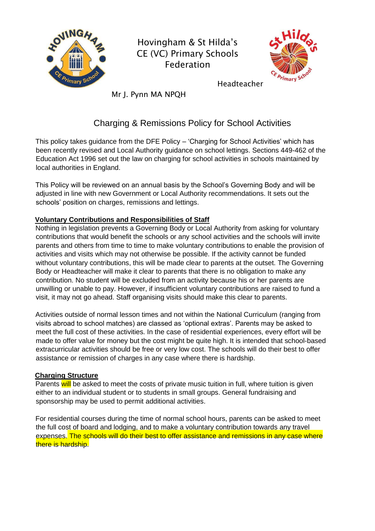

Hovingham & St Hilda's CE (VC) Primary Schools Federation



Headteacher

Mr J. Pynn MA NPQH

# Charging & Remissions Policy for School Activities

This policy takes guidance from the DFE Policy – 'Charging for School Activities' which has been recently revised and Local Authority guidance on school lettings. Sections 449-462 of the Education Act 1996 set out the law on charging for school activities in schools maintained by local authorities in England.

This Policy will be reviewed on an annual basis by the School's Governing Body and will be adjusted in line with new Government or Local Authority recommendations. It sets out the schools' position on charges, remissions and lettings.

## **Voluntary Contributions and Responsibilities of Staff**

Nothing in legislation prevents a Governing Body or Local Authority from asking for voluntary contributions that would benefit the schools or any school activities and the schools will invite parents and others from time to time to make voluntary contributions to enable the provision of activities and visits which may not otherwise be possible. If the activity cannot be funded without voluntary contributions, this will be made clear to parents at the outset. The Governing Body or Headteacher will make it clear to parents that there is no obligation to make any contribution. No student will be excluded from an activity because his or her parents are unwilling or unable to pay. However, if insufficient voluntary contributions are raised to fund a visit, it may not go ahead. Staff organising visits should make this clear to parents.

Activities outside of normal lesson times and not within the National Curriculum (ranging from visits abroad to school matches) are classed as 'optional extras'. Parents may be asked to meet the full cost of these activities. In the case of residential experiences, every effort will be made to offer value for money but the cost might be quite high. It is intended that school-based extracurricular activities should be free or very low cost. The schools will do their best to offer assistance or remission of charges in any case where there is hardship.

## **Charging Structure**

Parents will be asked to meet the costs of private music tuition in full, where tuition is given either to an individual student or to students in small groups. General fundraising and sponsorship may be used to permit additional activities.

For residential courses during the time of normal school hours, parents can be asked to meet the full cost of board and lodging, and to make a voluntary contribution towards any travel expenses. The schools will do their best to offer assistance and remissions in any case where there is hardship.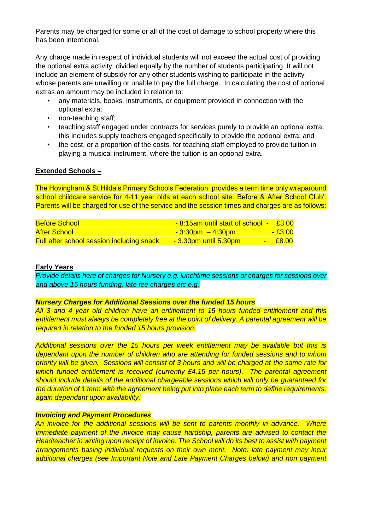Parents may be charged for some or all of the cost of damage to school property where this has been intentional.

Any charge made in respect of individual students will not exceed the actual cost of providing the optional extra activity, divided equally by the number of students participating. It will not include an element of subsidy for any other students wishing to participate in the activity whose parents are unwilling or unable to pay the full charge. In calculating the cost of optional extras an amount may be included in relation to:

- any materials, books, instruments, or equipment provided in connection with the optional extra;
- non-teaching staff;
- teaching staff engaged under contracts for services purely to provide an optional extra, this includes supply teachers engaged specifically to provide the optional extra; and
- the cost, or a proportion of the costs, for teaching staff employed to provide tuition in playing a musical instrument, where the tuition is an optional extra.

### **Extended Schools –**

The Hovingham & St Hilda's Primary Schools Federation provides a term time only wraparound school childcare service for 4-11 year olds at each school site. Before & After School Club'. Parents will be charged for use of the service and the session times and charges are as follows:

| <b>Before School</b>                             | $-8.15$ am until start of school $-53.00$ |                        |
|--------------------------------------------------|-------------------------------------------|------------------------|
| <b>After School</b>                              | <u> - 3:30pm – 4:30pm </u>                | $-£3.00$               |
| <b>Full after school session including snack</b> | <u>- 3.30pm until 5.30pm</u>              | $\text{-} \quad$ £8.00 |

#### **Early Years**

*Provide details here of charges for Nursery e.g. lunchtime sessions or charges for sessions over and above 15 hours funding, late fee charges etc e.g.*

### *Nursery Charges for Additional Sessions over the funded 15 hours*

*All 3 and 4 year old children have an entitlement to 15 hours funded entitlement and this entitlement must always be completely free at the point of delivery. A parental agreement will be required in relation to the funded 15 hours provision.* 

*Additional sessions over the 15 hours per week entitlement may be available but this is dependant upon the number of children who are attending for funded sessions and to whom priority will be given. Sessions will consist of 3 hours and will be charged at the same rate for which funded entitlement is received (currently £4.15 per hours). The parental agreement should include details of the additional chargeable sessions which will only be guaranteed for the duration of 1 term with the agreement being put into place each term to define requirements, again dependant upon availability.* 

#### *Invoicing and Payment Procedures*

*An invoice for the additional sessions will be sent to parents monthly in advance. Where immediate payment of the invoice may cause hardship, parents are advised to contact the Headteacher in writing upon receipt of invoice. The School will do its best to assist with payment arrangements basing individual requests on their own merit. Note: late payment may incur additional charges (see Important Note and Late Payment Charges below) and non payment*